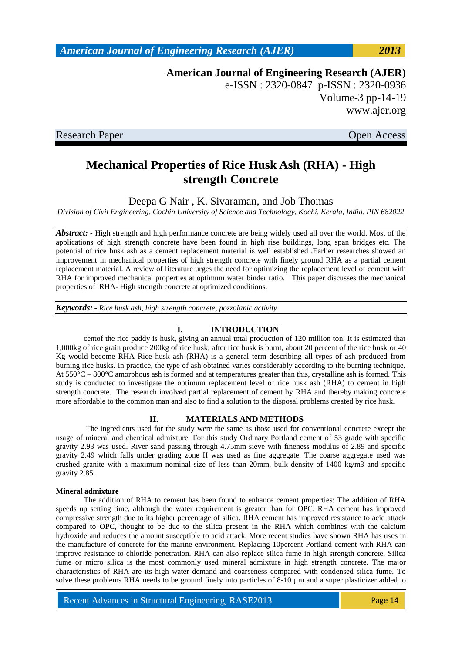**American Journal of Engineering Research (AJER)** e-ISSN : 2320-0847 p-ISSN : 2320-0936 Volume-3 pp-14-19 www.ajer.org

Research Paper **Open Access** 

# **Mechanical Properties of Rice Husk Ash (RHA) - High strength Concrete**

Deepa G Nair , K. Sivaraman, and Job Thomas

*Division of Civil Engineering, Cochin University of Science and Technology, Kochi, Kerala, India, PIN 682022*

*Abstract: -* High strength and high performance concrete are being widely used all over the world. Most of the applications of high strength concrete have been found in high rise buildings, long span bridges etc. The potential of rice husk ash as a cement replacement material is well established .Earlier researches showed an improvement in mechanical properties of high strength concrete with finely ground RHA as a partial cement replacement material. A review of literature urges the need for optimizing the replacement level of cement with RHA for improved mechanical properties at optimum water binder ratio. This paper discusses the mechanical properties of RHA- High strength concrete at optimized conditions.

*Keywords: - Rice husk ash, high strength concrete, pozzolanic activity*

### **I. INTRODUCTION**

centof the rice paddy is husk, giving an annual total production of 120 million ton. It is estimated that 1,000kg of rice grain produce 200kg of rice husk; after rice husk is burnt, about 20 percent of the rice husk or 40 Kg would become RHA Rice husk ash (RHA) is a general term describing all types of ash produced from burning rice husks. In practice, the type of ash obtained varies considerably according to the burning technique. At  $550^{\circ}$ C –  $800^{\circ}$ C amorphous ash is formed and at temperatures greater than this, crystalline ash is formed. This study is conducted to investigate the optimum replacement level of rice husk ash (RHA) to cement in high strength concrete. The research involved partial replacement of cement by RHA and thereby making concrete more affordable to the common man and also to find a solution to the disposal problems created by rice husk.

### **II. MATERIALS AND METHODS**

The ingredients used for the study were the same as those used for conventional concrete except the usage of mineral and chemical admixture. For this study Ordinary Portland cement of 53 grade with specific gravity 2.93 was used. River sand passing through 4.75mm sieve with fineness modulus of 2.89 and specific gravity 2.49 which falls under grading zone II was used as fine aggregate. The coarse aggregate used was crushed granite with a maximum nominal size of less than 20mm, bulk density of 1400 kg/m3 and specific gravity 2.85.

#### **Mineral admixture**

The addition of RHA to cement has been found to enhance cement properties: The addition of RHA speeds up setting time, although the water requirement is greater than for OPC. RHA cement has improved compressive strength due to its higher percentage of silica. RHA cement has improved resistance to acid attack compared to OPC, thought to be due to the silica present in the RHA which combines with the calcium hydroxide and reduces the amount susceptible to acid attack. More recent studies have shown RHA has uses in the manufacture of concrete for the marine environment. Replacing 10percent Portland cement with RHA can improve resistance to chloride penetration. RHA can also replace silica fume in high strength concrete. Silica fume or micro silica is the most commonly used mineral admixture in high strength concrete. The major characteristics of RHA are its high water demand and coarseness compared with condensed silica fume. To solve these problems RHA needs to be ground finely into particles of 8-10  $\mu$ m and a super plasticizer added to

Recent Advances in Structural Engineering, RASE2013 Page 14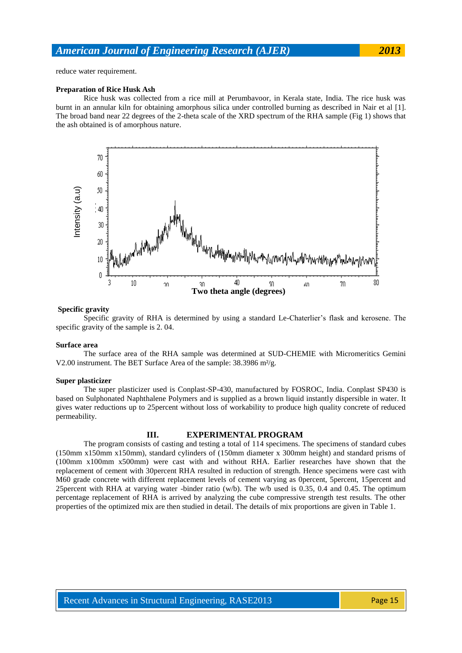reduce water requirement.

### **Preparation of Rice Husk Ash**

Rice husk was collected from a rice mill at Perumbavoor, in Kerala state, India. The rice husk was burnt in an annular kiln for obtaining amorphous silica under controlled burning as described in Nair et al [1]. The broad band near 22 degrees of the 2-theta scale of the XRD spectrum of the RHA sample (Fig 1) shows that the ash obtained is of amorphous nature.



#### **Specific gravity**

Specific gravity of RHA is determined by using a standard Le-Chaterlier's flask and kerosene. The specific gravity of the sample is 2. 04.

#### **Surface area**

The surface area of the RHA sample was determined at SUD-CHEMIE with Micromeritics Gemini V2.00 instrument. The BET Surface Area of the sample: 38.3986 m<sup>2</sup>/g.

#### **Super plasticizer**

The super plasticizer used is Conplast-SP-430, manufactured by FOSROC, India. Conplast SP430 is based on Sulphonated Naphthalene Polymers and is supplied as a brown liquid instantly dispersible in water. It gives water reductions up to 25percent without loss of workability to produce high quality concrete of reduced permeability.

#### **III. EXPERIMENTAL PROGRAM**

The program consists of casting and testing a total of 114 specimens. The specimens of standard cubes (150mm x150mm x150mm), standard cylinders of (150mm diameter x 300mm height) and standard prisms of (100mm x100mm x500mm) were cast with and without RHA. Earlier researches have shown that the replacement of cement with 30percent RHA resulted in reduction of strength. Hence specimens were cast with M60 grade concrete with different replacement levels of cement varying as 0percent, 5percent, 15percent and 25percent with RHA at varying water -binder ratio (w/b). The w/b used is 0.35, 0.4 and 0.45. The optimum percentage replacement of RHA is arrived by analyzing the cube compressive strength test results. The other properties of the optimized mix are then studied in detail. The details of mix proportions are given in Table 1.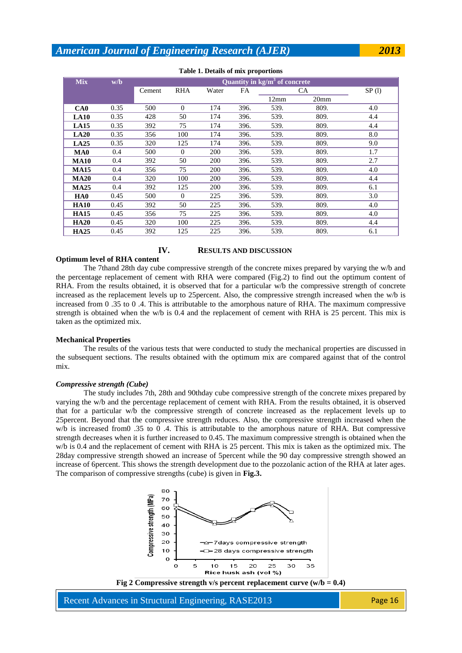| <b>Mix</b>      | w/b  | Quantity in $kg/m3$ of concrete |            |       |      |      |      |       |  |
|-----------------|------|---------------------------------|------------|-------|------|------|------|-------|--|
|                 |      | Cement                          | <b>RHA</b> | Water | FA   | CA.  |      | SP(1) |  |
|                 |      |                                 |            |       |      | 12mm | 20mm |       |  |
| CA <sub>0</sub> | 0.35 | 500                             | $\Omega$   | 174   | 396. | 539. | 809. | 4.0   |  |
| <b>LA10</b>     | 0.35 | 428                             | 50         | 174   | 396. | 539. | 809. | 4.4   |  |
| LA15            | 0.35 | 392                             | 75         | 174   | 396. | 539. | 809. | 4.4   |  |
| LA20            | 0.35 | 356                             | 100        | 174   | 396. | 539. | 809. | 8.0   |  |
| LA25            | 0.35 | 320                             | 125        | 174   | 396. | 539. | 809. | 9.0   |  |
| MA <sub>0</sub> | 0.4  | 500                             | $\Omega$   | 200   | 396. | 539. | 809. | 1.7   |  |
| <b>MA10</b>     | 0.4  | 392                             | 50         | 200   | 396. | 539. | 809. | 2.7   |  |
| <b>MA15</b>     | 0.4  | 356                             | 75         | 200   | 396. | 539. | 809. | 4.0   |  |
| <b>MA20</b>     | 0.4  | 320                             | 100        | 200   | 396. | 539. | 809. | 4.4   |  |
| <b>MA25</b>     | 0.4  | 392                             | 125        | 200   | 396. | 539. | 809. | 6.1   |  |
| HA0             | 0.45 | 500                             | $\Omega$   | 225   | 396. | 539. | 809. | 3.0   |  |
| <b>HA10</b>     | 0.45 | 392                             | 50         | 225   | 396. | 539. | 809. | 4.0   |  |
| <b>HA15</b>     | 0.45 | 356                             | 75         | 225   | 396. | 539. | 809. | 4.0   |  |
| <b>HA20</b>     | 0.45 | 320                             | 100        | 225   | 396. | 539. | 809. | 4.4   |  |
| <b>HA25</b>     | 0.45 | 392                             | 125        | 225   | 396. | 539. | 809. | 6.1   |  |

#### **Table 1. Details of mix proportions**

## **IV. RESULTS AND DISCUSSION**

**Optimum level of RHA content** 

The 7thand 28th day cube compressive strength of the concrete mixes prepared by varying the w/b and the percentage replacement of cement with RHA were compared (Fig.2) to find out the optimum content of RHA. From the results obtained, it is observed that for a particular w/b the compressive strength of concrete increased as the replacement levels up to 25percent. Also, the compressive strength increased when the w/b is increased from 0 .35 to 0 .4. This is attributable to the amorphous nature of RHA. The maximum compressive strength is obtained when the w/b is 0.4 and the replacement of cement with RHA is 25 percent. This mix is taken as the optimized mix.

#### **Mechanical Properties**

The results of the various tests that were conducted to study the mechanical properties are discussed in the subsequent sections. The results obtained with the optimum mix are compared against that of the control mix.

#### *Compressive strength (Cube)*

The study includes 7th, 28th and 90thday cube compressive strength of the concrete mixes prepared by varying the w/b and the percentage replacement of cement with RHA. From the results obtained, it is observed that for a particular w/b the compressive strength of concrete increased as the replacement levels up to 25percent. Beyond that the compressive strength reduces. Also, the compressive strength increased when the w/b is increased from 0.35 to 0.4. This is attributable to the amorphous nature of RHA. But compressive strength decreases when it is further increased to 0.45. The maximum compressive strength is obtained when the w/b is 0.4 and the replacement of cement with RHA is 25 percent. This mix is taken as the optimized mix. The 28day compressive strength showed an increase of 5percent while the 90 day compressive strength showed an increase of 6percent. This shows the strength development due to the pozzolanic action of the RHA at later ages. The comparison of compressive strengths (cube) is given in **Fig.3.**





Recent Advances in Structural Engineering, RASE2013 Page 16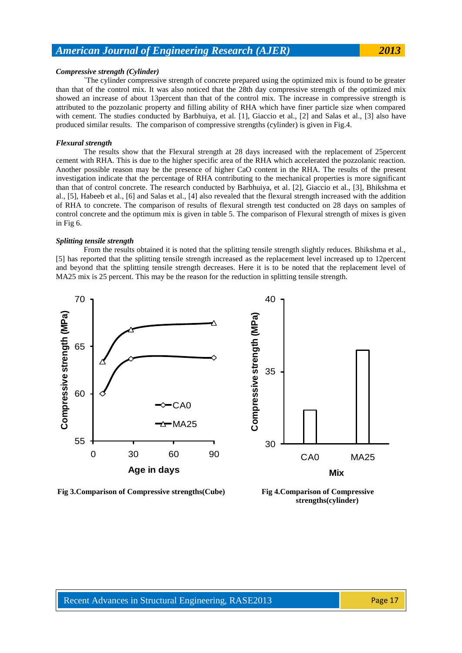#### *Compressive strength (Cylinder)*

`The cylinder compressive strength of concrete prepared using the optimized mix is found to be greater than that of the control mix. It was also noticed that the 28th day compressive strength of the optimized mix showed an increase of about 13percent than that of the control mix. The increase in compressive strength is attributed to the pozzolanic property and filling ability of RHA which have finer particle size when compared with cement. The studies conducted by Barbhuiya, et al. [1], Giaccio et al., [2] and Salas et al., [3] also have produced similar results. The comparison of compressive strengths (cylinder) is given in Fig.4.

#### *Flexural strength*

The results show that the Flexural strength at 28 days increased with the replacement of 25percent cement with RHA. This is due to the higher specific area of the RHA which accelerated the pozzolanic reaction. Another possible reason may be the presence of higher CaO content in the RHA. The results of the present investigation indicate that the percentage of RHA contributing to the mechanical properties is more significant than that of control concrete. The research conducted by Barbhuiya, et al. [2], Giaccio et al., [3], Bhikshma et al., [5], Habeeb et al., [6] and Salas et al., [4] also revealed that the flexural strength increased with the addition of RHA to concrete. The comparison of results of flexural strength test conducted on 28 days on samples of control concrete and the optimum mix is given in table 5. The comparison of Flexural strength of mixes is given in Fig 6.

#### *Splitting tensile strength*

From the results obtained it is noted that the splitting tensile strength slightly reduces. Bhikshma et al., [5] has reported that the splitting tensile strength increased as the replacement level increased up to 12percent and beyond that the splitting tensile strength decreases. Here it is to be noted that the replacement level of MA25 mix is 25 percent. This may be the reason for the reduction in splitting tensile strength.



**Fig 3.Comparison of Compressive strengths(Cube) Fig 4.Comparison of Compressive** 

**strengths(cylinder)**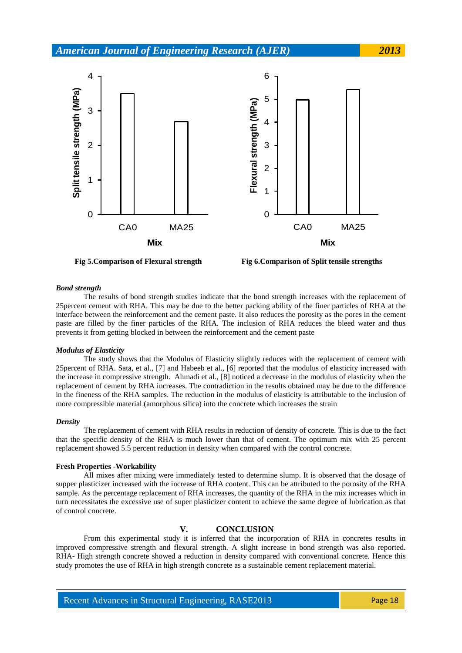

**Fig 5.Comparison of Flexural strength Fig 6.Comparison of Split tensile strengths**

#### *Bond strength*

The results of bond strength studies indicate that the bond strength increases with the replacement of 25percent cement with RHA. This may be due to the better packing ability of the finer particles of RHA at the interface between the reinforcement and the cement paste. It also reduces the porosity as the pores in the cement paste are filled by the finer particles of the RHA. The inclusion of RHA reduces the bleed water and thus prevents it from getting blocked in between the reinforcement and the cement paste

#### *Modulus of Elasticity*

The study shows that the Modulus of Elasticity slightly reduces with the replacement of cement with 25percent of RHA. Sata, et al., [7] and Habeeb et al., [6] reported that the modulus of elasticity increased with the increase in compressive strength. Ahmadi et al., [8] noticed a decrease in the modulus of elasticity when the replacement of cement by RHA increases. The contradiction in the results obtained may be due to the difference in the fineness of the RHA samples. The reduction in the modulus of elasticity is attributable to the inclusion of more compressible material (amorphous silica) into the concrete which increases the strain

#### *Density*

The replacement of cement with RHA results in reduction of density of concrete. This is due to the fact that the specific density of the RHA is much lower than that of cement. The optimum mix with 25 percent replacement showed 5.5 percent reduction in density when compared with the control concrete.

#### **Fresh Properties -Workability**

All mixes after mixing were immediately tested to determine slump. It is observed that the dosage of supper plasticizer increased with the increase of RHA content. This can be attributed to the porosity of the RHA sample. As the percentage replacement of RHA increases, the quantity of the RHA in the mix increases which in turn necessitates the excessive use of super plasticizer content to achieve the same degree of lubrication as that of control concrete.

### **V. CONCLUSION**

From this experimental study it is inferred that the incorporation of RHA in concretes results in improved compressive strength and flexural strength. A slight increase in bond strength was also reported. RHA- High strength concrete showed a reduction in density compared with conventional concrete. Hence this study promotes the use of RHA in high strength concrete as a sustainable cement replacement material.